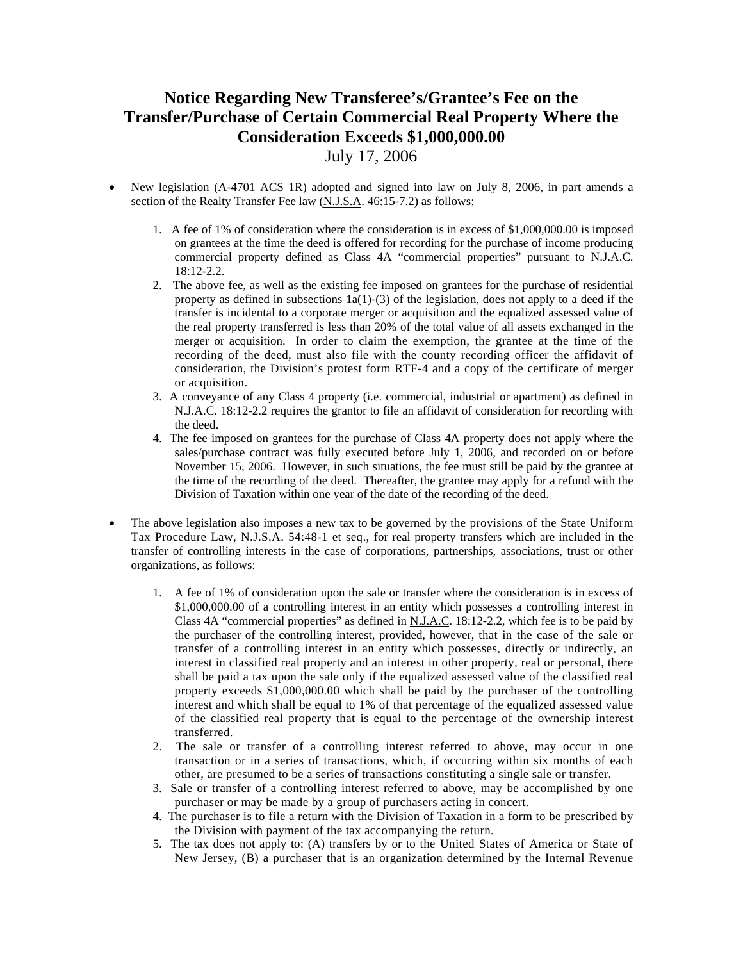## **Notice Regarding New Transferee's/Grantee's Fee on the Transfer/Purchase of Certain Commercial Real Property Where the Consideration Exceeds \$1,000,000.00**

- July 17, 2006
- New legislation (A-4701 ACS 1R) adopted and signed into law on July 8, 2006, in part amends a section of the Realty Transfer Fee law (N.J.S.A. 46:15-7.2) as follows:
	- 1. A fee of 1% of consideration where the consideration is in excess of \$1,000,000.00 is imposed on grantees at the time the deed is offered for recording for the purchase of income producing commercial property defined as Class 4A "commercial properties" pursuant to N.J.A.C. 18:12-2.2.
	- 2. The above fee, as well as the existing fee imposed on grantees for the purchase of residential property as defined in subsections  $1a(1)-(3)$  of the legislation, does not apply to a deed if the transfer is incidental to a corporate merger or acquisition and the equalized assessed value of the real property transferred is less than 20% of the total value of all assets exchanged in the merger or acquisition. In order to claim the exemption, the grantee at the time of the recording of the deed, must also file with the county recording officer the affidavit of consideration, the Division's protest form RTF-4 and a copy of the certificate of merger or acquisition.
	- 3. A conveyance of any Class 4 property (i.e. commercial, industrial or apartment) as defined in N.J.A.C. 18:12-2.2 requires the grantor to file an affidavit of consideration for recording with the deed.
	- 4. The fee imposed on grantees for the purchase of Class 4A property does not apply where the sales/purchase contract was fully executed before July 1, 2006, and recorded on or before November 15, 2006. However, in such situations, the fee must still be paid by the grantee at the time of the recording of the deed. Thereafter, the grantee may apply for a refund with the Division of Taxation within one year of the date of the recording of the deed.
- The above legislation also imposes a new tax to be governed by the provisions of the State Uniform Tax Procedure Law, N.J.S.A. 54:48-1 et seq., for real property transfers which are included in the transfer of controlling interests in the case of corporations, partnerships, associations, trust or other organizations, as follows:
	- 1. A fee of 1% of consideration upon the sale or transfer where the consideration is in excess of \$1,000,000.00 of a controlling interest in an entity which possesses a controlling interest in Class 4A "commercial properties" as defined in N.J.A.C. 18:12-2.2, which fee is to be paid by the purchaser of the controlling interest, provided, however, that in the case of the sale or transfer of a controlling interest in an entity which possesses, directly or indirectly, an interest in classified real property and an interest in other property, real or personal, there shall be paid a tax upon the sale only if the equalized assessed value of the classified real property exceeds \$1,000,000.00 which shall be paid by the purchaser of the controlling interest and which shall be equal to 1% of that percentage of the equalized assessed value of the classified real property that is equal to the percentage of the ownership interest transferred.
	- 2. The sale or transfer of a controlling interest referred to above, may occur in one transaction or in a series of transactions, which, if occurring within six months of each other, are presumed to be a series of transactions constituting a single sale or transfer.
	- 3. Sale or transfer of a controlling interest referred to above, may be accomplished by one purchaser or may be made by a group of purchasers acting in concert.
	- 4. The purchaser is to file a return with the Division of Taxation in a form to be prescribed by the Division with payment of the tax accompanying the return.
	- 5. The tax does not apply to: (A) transfers by or to the United States of America or State of New Jersey, (B) a purchaser that is an organization determined by the Internal Revenue